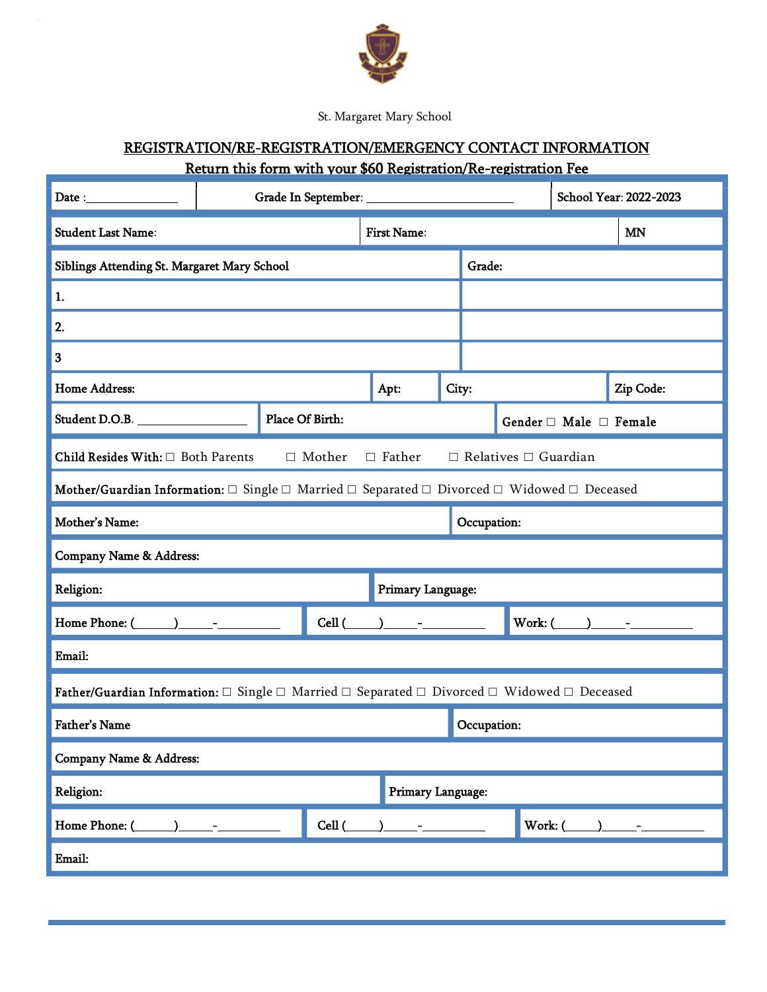

St. Margaret Mary School

## REGISTRATION/RE-REGISTRATION/EMERGENCY CONTACT INFORMATION Return this form with your \$60 Registration/Re-registration Fee

| ${\bf Date:}\quad \overbrace{\qquad \qquad }$                                                                             |  | School Year: 2022-2023 |                   |                    |       |                                  |                       |  |           |  |
|---------------------------------------------------------------------------------------------------------------------------|--|------------------------|-------------------|--------------------|-------|----------------------------------|-----------------------|--|-----------|--|
| <b>Student Last Name:</b>                                                                                                 |  |                        |                   | <b>First Name:</b> |       |                                  |                       |  | <b>MN</b> |  |
| Siblings Attending St. Margaret Mary School                                                                               |  |                        |                   | Grade:             |       |                                  |                       |  |           |  |
| 1.                                                                                                                        |  |                        |                   |                    |       |                                  |                       |  |           |  |
| 2.                                                                                                                        |  |                        |                   |                    |       |                                  |                       |  |           |  |
| 3                                                                                                                         |  |                        |                   |                    |       |                                  |                       |  |           |  |
| <b>Home Address:</b>                                                                                                      |  |                        |                   | Apt:               | City: |                                  |                       |  | Zip Code: |  |
| Student D.O.B.                                                                                                            |  | Place Of Birth:        |                   |                    |       | Gender $\Box$ Male $\Box$ Female |                       |  |           |  |
| $\hfill\Box$ Mother<br>$\Box$ Father<br>Child Resides With: $\Box$ Both Parents<br>$\Box$ Relatives $\Box$ Guardian       |  |                        |                   |                    |       |                                  |                       |  |           |  |
| Mother/Guardian Information: $\Box$ Single $\Box$ Married $\Box$ Separated $\Box$ Divorced $\Box$ Widowed $\Box$ Deceased |  |                        |                   |                    |       |                                  |                       |  |           |  |
| Mother's Name:                                                                                                            |  |                        |                   | Occupation:        |       |                                  |                       |  |           |  |
| Company Name & Address:                                                                                                   |  |                        |                   |                    |       |                                  |                       |  |           |  |
| Religion:                                                                                                                 |  |                        |                   | Primary Language:  |       |                                  |                       |  |           |  |
| Home Phone: $($ ) -                                                                                                       |  |                        | Cell (            |                    |       |                                  | Work: $(\_\_)$ $\_\_$ |  |           |  |
| Email:                                                                                                                    |  |                        |                   |                    |       |                                  |                       |  |           |  |
| Father/Guardian Information: $\Box$ Single $\Box$ Married $\Box$ Separated $\Box$ Divorced $\Box$ Widowed $\Box$ Deceased |  |                        |                   |                    |       |                                  |                       |  |           |  |
| <b>Father's Name</b>                                                                                                      |  |                        |                   | Occupation:        |       |                                  |                       |  |           |  |
| Company Name & Address:                                                                                                   |  |                        |                   |                    |       |                                  |                       |  |           |  |
| Religion:                                                                                                                 |  |                        | Primary Language: |                    |       |                                  |                       |  |           |  |
| Home Phone: (                                                                                                             |  |                        | Cell (            |                    |       | Work: (                          |                       |  |           |  |
| Email:                                                                                                                    |  |                        |                   |                    |       |                                  |                       |  |           |  |